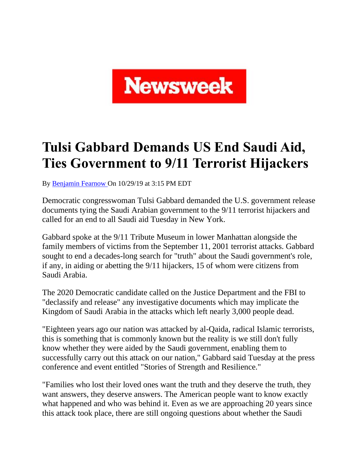

## **Tulsi Gabbard Demands US End Saudi Aid, Ties Government to 9/11 Terrorist Hijackers**

By [Benjamin Fearnow O](https://www.newsweek.com/authors/benjamin-fearnow)n 10/29/19 at 3:15 PM EDT

Democratic congresswoman Tulsi Gabbard demanded the U.S. government release documents tying the Saudi Arabian government to the 9/11 terrorist hijackers and called for an end to all Saudi aid Tuesday in New York.

Gabbard spoke at the 9/11 Tribute Museum in lower Manhattan alongside the family members of victims from the September 11, 2001 terrorist attacks. Gabbard sought to end a decades-long search for "truth" about the Saudi government's role, if any, in aiding or abetting the 9/11 hijackers, 15 of whom were citizens from Saudi Arabia.

The 2020 Democratic candidate called on the Justice Department and the FBI to "declassify and release" any investigative documents which may implicate the Kingdom of Saudi Arabia in the attacks which left nearly 3,000 people dead.

"Eighteen years ago our nation was attacked by al-Qaida, radical Islamic terrorists, this is something that is commonly known but the reality is we still don't fully know whether they were aided by the Saudi government, enabling them to successfully carry out this attack on our nation," Gabbard said Tuesday at the press conference and event entitled "Stories of Strength and Resilience."

"Families who lost their loved ones want the truth and they deserve the truth, they want answers, they deserve answers. The American people want to know exactly what happened and who was behind it. Even as we are approaching 20 years since this attack took place, there are still ongoing questions about whether the Saudi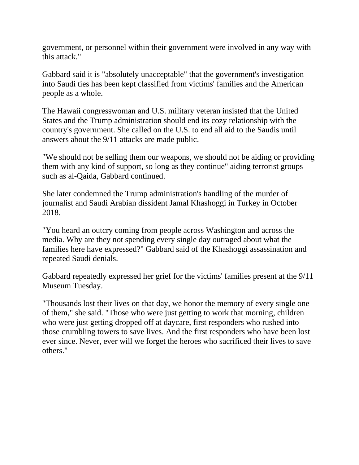government, or personnel within their government were involved in any way with this attack."

Gabbard said it is "absolutely unacceptable" that the government's investigation into Saudi ties has been kept classified from victims' families and the American people as a whole.

The Hawaii congresswoman and U.S. military veteran insisted that the United States and the Trump administration should end its cozy relationship with the country's government. She called on the U.S. to end all aid to the Saudis until answers about the 9/11 attacks are made public.

"We should not be selling them our weapons, we should not be aiding or providing them with any kind of support, so long as they continue" aiding terrorist groups such as al-Qaida, Gabbard continued.

She later condemned the Trump administration's handling of the murder of journalist and Saudi Arabian dissident Jamal Khashoggi in Turkey in October 2018.

"You heard an outcry coming from people across Washington and across the media. Why are they not spending every single day outraged about what the families here have expressed?" Gabbard said of the Khashoggi assassination and repeated Saudi denials.

Gabbard repeatedly expressed her grief for the victims' families present at the 9/11 Museum Tuesday.

"Thousands lost their lives on that day, we honor the memory of every single one of them," she said. "Those who were just getting to work that morning, children who were just getting dropped off at daycare, first responders who rushed into those crumbling towers to save lives. And the first responders who have been lost ever since. Never, ever will we forget the heroes who sacrificed their lives to save others."